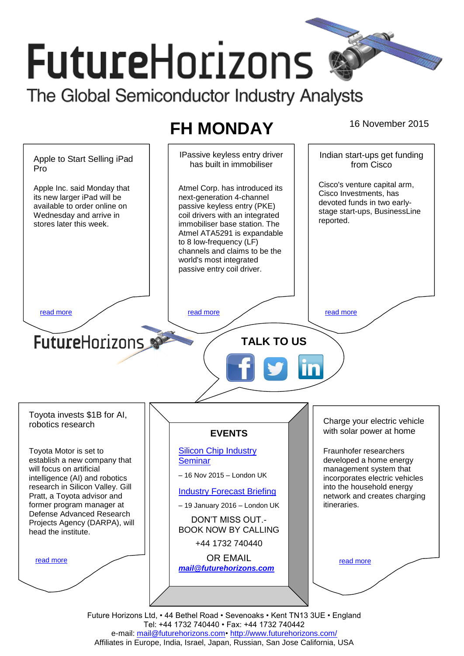# **FutureHorizons** The Global Semiconductor Industry Analysts

## **FH MONDAY** 16 November 2015

IPassive keyless entry driver Indian start-ups get funding Apple to Start Selling iPad has built in immobiliser from Cisco Pro Cisco's venture capital arm, Apple Inc. said Monday that Atmel Corp. has introduced its Cisco Investments, has its new larger iPad will be next-generation 4-channel devoted funds in two earlyavailable to order online on passive keyless entry (PKE) stage start-ups, BusinessLine Wednesday and arrive in coil drivers with an integrated reported. stores later this week. immobiliser base station. The Atmel ATA5291 is expandable to 8 low-frequency (LF) channels and claims to be the world's most integrated passive entry coil driver. [read more](#page-1-1) that the second contract the second contract of the read more that the read more that the read more **Future**Horizons **TALK TO US** Toyota invests \$1B for AI, Charge your electric vehicle robotics research with solar power at home **EVENTS** Toyota Motor is set to [Silicon Chip Industry](http://www.futurehorizons.com/page/12/silicon-chip-training)  Fraunhofer researchers establish a new company that **[Seminar](http://www.futurehorizons.com/page/12/silicon-chip-training)** developed a home energy will focus on artificial management system that – 16 Nov 2015 – London UK intelligence (AI) and robotics incorporates electric vehicles research in Silicon Valley. Gill into the household energy [Industry Forecast Briefing](http://www.futurehorizons.com/page/13/Semiconductor-Market-Forecast-Seminar) Pratt, a Toyota advisor and network and creates charging former program manager at – 19 January 2016 – London UK itineraries. Defense Advanced Research DON'T MISS OUT.- Projects Agency (DARPA), will BOOK NOW BY CALLING head the institute.+44 1732 740440 OR EMAIL [read more](#page-1-3) [read more](#page-1-4) *[mail@futurehorizons.com](mailto:mail@futurehorizons.com)* Future Horizons Ltd, • 44 Bethel Road • Sevenoaks • Kent TN13 3UE • England

Tel: +44 1732 740440 • Fax: +44 1732 740442 e-mail: mail@futurehorizons.com• http://www.futurehorizons.com/ Affiliates in Europe, India, Israel, Japan, Russian, San Jose California, USA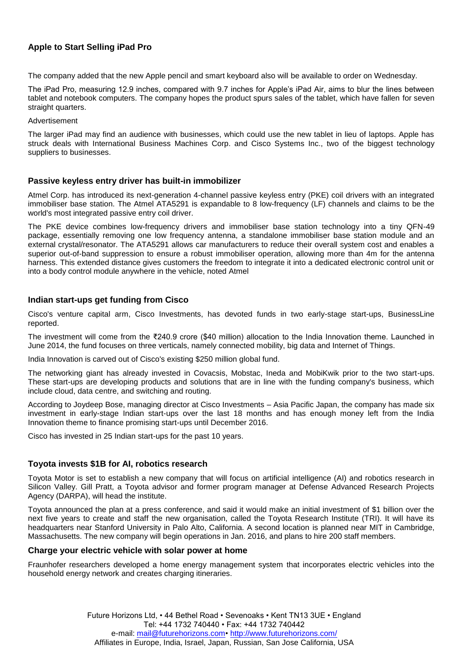### <span id="page-1-0"></span>**Apple to Start Selling iPad Pro**

The company added that the new Apple pencil and smart keyboard also will be available to order on Wednesday.

The iPad Pro, measuring 12.9 inches, compared with 9.7 inches for Apple's iPad Air, aims to blur the lines between tablet and notebook computers. The company hopes the product spurs sales of the tablet, which have fallen for seven straight quarters.

#### Advertisement

The larger iPad may find an audience with businesses, which could use the new tablet in lieu of laptops. Apple has struck deals with International Business Machines Corp. and Cisco Systems Inc., two of the biggest technology suppliers to businesses.

#### <span id="page-1-2"></span>**Passive keyless entry driver has built-in immobilizer**

Atmel Corp. has introduced its next-generation 4-channel passive keyless entry (PKE) coil drivers with an integrated immobiliser base station. The Atmel ATA5291 is expandable to 8 low-frequency (LF) channels and claims to be the world's most integrated passive entry coil driver.

The PKE device combines low-frequency drivers and immobiliser base station technology into a tiny QFN-49 package, essentially removing one low frequency antenna, a standalone immobiliser base station module and an external crystal/resonator. The ATA5291 allows car manufacturers to reduce their overall system cost and enables a superior out-of-band suppression to ensure a robust immobiliser operation, allowing more than 4m for the antenna harness. This extended distance gives customers the freedom to integrate it into a dedicated electronic control unit or into a body control module anywhere in the vehicle, noted Atmel

#### <span id="page-1-1"></span>**Indian start-ups get funding from Cisco**

Cisco's venture capital arm, Cisco Investments, has devoted funds in two early-stage start-ups, BusinessLine reported.

The investment will come from the ₹240.9 crore (\$40 million) allocation to the India Innovation theme. Launched in June 2014, the fund focuses on three verticals, namely connected mobility, big data and Internet of Things.

India Innovation is carved out of Cisco's existing \$250 million global fund.

The networking giant has already invested in Covacsis, Mobstac, Ineda and MobiKwik prior to the two start-ups. These start-ups are developing products and solutions that are in line with the funding company's business, which include cloud, data centre, and switching and routing.

According to Joydeep Bose, managing director at Cisco Investments – Asia Pacific Japan, the company has made six investment in early-stage Indian start-ups over the last 18 months and has enough money left from the India Innovation theme to finance promising start-ups until December 2016.

Cisco has invested in 25 Indian start-ups for the past 10 years.

#### <span id="page-1-3"></span>**Toyota invests \$1B for AI, robotics research**

Toyota Motor is set to establish a new company that will focus on artificial intelligence (AI) and robotics research in Silicon Valley. Gill Pratt, a Toyota advisor and former program manager at Defense Advanced Research Projects Agency (DARPA), will head the institute.

Toyota announced the plan at a press conference, and said it would make an initial investment of \$1 billion over the next five years to create and staff the new organisation, called the Toyota Research Institute (TRI). It will have its headquarters near Stanford University in Palo Alto, California. A second location is planned near MIT in Cambridge, Massachusetts. The new company will begin operations in Jan. 2016, and plans to hire 200 staff members.

#### <span id="page-1-4"></span>**Charge your electric vehicle with solar power at home**

Fraunhofer researchers developed a home energy management system that incorporates electric vehicles into the household energy network and creates charging itineraries.